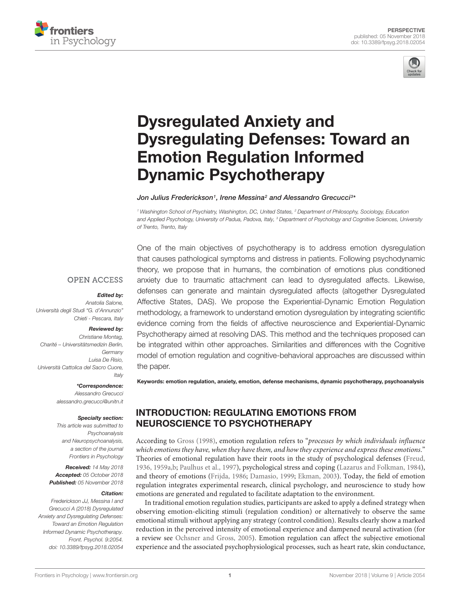



# Dysregulated Anxiety and [Dysregulating Defenses: Toward an](https://www.frontiersin.org/articles/10.3389/fpsyg.2018.02054/full) Emotion Regulation Informed Dynamic Psychotherapy

### [Jon Julius Frederickson](http://loop.frontiersin.org/people/186265/overview)1, [Irene Messina](http://loop.frontiersin.org/people/54604/overview)<sup>2</sup> and [Alessandro Grecucci](http://loop.frontiersin.org/people/44031/overview)<sup>3</sup>\*

<sup>1</sup> Washington School of Psychiatry, Washington, DC, United States, <sup>2</sup> Department of Philosophy, Sociology, Education and Applied Psychology, University of Padua, Padova, Italy, <sup>3</sup> Department of Psychology and Cognitive Sciences, University of Trento, Trento, Italy

#### **OPEN ACCESS**

#### Edited by:

Anatolia Salone, Università degli Studi "G. d'Annunzio" Chieti - Pescara, Italy

#### Reviewed by:

Christiane Montag, Charité – Universitätsmedizin Berlin, **Germany** Luisa De Risio, Università Cattolica del Sacro Cuore, Italy

#### \*Correspondence:

Alessandro Grecucci alessandro.grecucci@unitn.it

#### Specialty section:

This article was submitted to Psychoanalysis and Neuropsychoanalysis, a section of the journal Frontiers in Psychology

Received: 14 May 2018 Accepted: 05 October 2018 Published: 05 November 2018

### Citation:

Frederickson JJ, Messina I and Grecucci A (2018) Dysregulated Anxiety and Dysregulating Defenses: Toward an Emotion Regulation Informed Dynamic Psychotherapy. Front. Psychol. 9:2054. doi: [10.3389/fpsyg.2018.02054](https://doi.org/10.3389/fpsyg.2018.02054)

One of the main objectives of psychotherapy is to address emotion dysregulation that causes pathological symptoms and distress in patients. Following psychodynamic theory, we propose that in humans, the combination of emotions plus conditioned anxiety due to traumatic attachment can lead to dysregulated affects. Likewise, defenses can generate and maintain dysregulated affects (altogether Dysregulated Affective States, DAS). We propose the Experiential-Dynamic Emotion Regulation methodology, a framework to understand emotion dysregulation by integrating scientific evidence coming from the fields of affective neuroscience and Experiential-Dynamic Psychotherapy aimed at resolving DAS. This method and the techniques proposed can be integrated within other approaches. Similarities and differences with the Cognitive model of emotion regulation and cognitive-behavioral approaches are discussed within the paper.

Keywords: emotion regulation, anxiety, emotion, defense mechanisms, dynamic psychotherapy, psychoanalysis

# INTRODUCTION: REGULATING EMOTIONS FROM NEUROSCIENCE TO PSYCHOTHERAPY

According to [Gross](#page-7-0) [\(1998\)](#page-7-0), emotion regulation refers to "processes by which individuals influence which emotions they have, when they have them, and how they experience and express these emotions." Theories of emotional regulation have their roots in the study of psychological defenses [\(Freud,](#page-7-1) [1936,](#page-7-1) [1959a](#page-7-2)[,b;](#page-7-3) [Paulhus et al.,](#page-8-0) [1997\)](#page-8-0), psychological stress and coping [\(Lazarus and Folkman,](#page-7-4) [1984\)](#page-7-4), and theory of emotions [\(Frijda,](#page-7-5) [1986;](#page-7-5) [Damasio,](#page-7-6) [1999;](#page-7-6) [Ekman,](#page-7-7) [2003\)](#page-7-7). Today, the field of emotion regulation integrates experimental research, clinical psychology, and neuroscience to study how emotions are generated and regulated to facilitate adaptation to the environment.

In traditional emotion regulation studies, participants are asked to apply a defined strategy when observing emotion-eliciting stimuli (regulation condition) or alternatively to observe the same emotional stimuli without applying any strategy (control condition). Results clearly show a marked reduction in the perceived intensity of emotional experience and dampened neural activation (for a review see [Ochsner and Gross,](#page-8-1) [2005\)](#page-8-1). Emotion regulation can affect the subjective emotional experience and the associated psychophysiological processes, such as heart rate, skin conductance,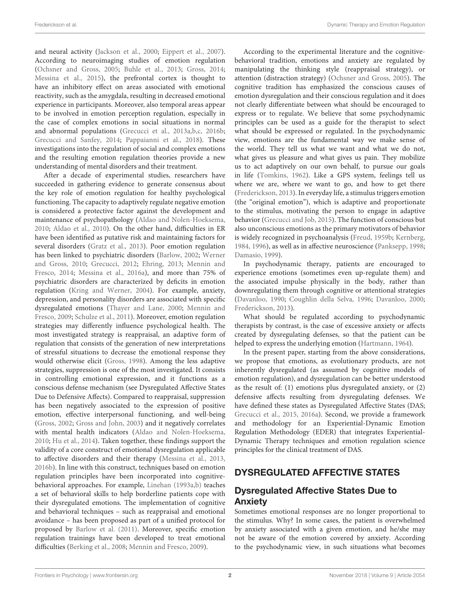and neural activity [\(Jackson et al.,](#page-7-8) [2000;](#page-7-8) [Eippert et al.,](#page-7-9) [2007\)](#page-7-9). According to neuroimaging studies of emotion regulation [\(Ochsner and Gross,](#page-8-1) [2005;](#page-8-1) [Buhle et al.,](#page-7-10) [2013;](#page-7-10) [Gross,](#page-7-11) [2014;](#page-7-11) [Messina et al.,](#page-8-2) [2015\)](#page-8-2), the prefrontal cortex is thought to have an inhibitory effect on areas associated with emotional reactivity, such as the amygdala, resulting in decreased emotional experience in participants. Moreover, also temporal areas appear to be involved in emotion perception regulation, especially in the case of complex emotions in social situations in normal and abnormal populations [\(Grecucci et al.,](#page-7-12) [2013a,](#page-7-12)[b,](#page-7-13)[c,](#page-7-14) [2016b;](#page-7-15) [Grecucci and Sanfey,](#page-7-16) [2014;](#page-7-16) [Pappaianni et al.,](#page-8-3) [2018\)](#page-8-3). These investigations into the regulation of social and complex emotions and the resulting emotion regulation theories provide a new understanding of mental disorders and their treatment.

After a decade of experimental studies, researchers have succeeded in gathering evidence to generate consensus about the key role of emotion regulation for healthy psychological functioning. The capacity to adaptively regulate negative emotion is considered a protective factor against the development and maintenance of psychopathology [\(Aldao and Nolen-Hoeksema,](#page-7-17) [2010;](#page-7-17) [Aldao et al.,](#page-7-18) [2010\)](#page-7-18). On the other hand, difficulties in ER have been identified as putative risk and maintaining factors for several disorders [\(Gratz et al.,](#page-7-19) [2013\)](#page-7-19). Poor emotion regulation has been linked to psychiatric disorders [\(Barlow,](#page-7-20) [2002;](#page-7-20) [Werner](#page-8-4) [and Gross,](#page-8-4) [2010;](#page-8-4) [Grecucci,](#page-7-21) [2012;](#page-7-21) [Ehring,](#page-7-22) [2013;](#page-7-22) [Mennin and](#page-8-5) [Fresco,](#page-8-5) [2014;](#page-8-5) [Messina et al.,](#page-8-6) [2016a\)](#page-8-6), and more than 75% of psychiatric disorders are characterized by deficits in emotion regulation [\(Kring and Werner,](#page-7-23) [2004\)](#page-7-23). For example, anxiety, depression, and personality disorders are associated with specific dysregulated emotions [\(Thayer and Lane,](#page-8-7) [2000;](#page-8-7) [Mennin and](#page-8-8) [Fresco,](#page-8-8) [2009;](#page-8-8) [Schulze et al.,](#page-8-9) [2011\)](#page-8-9). Moreover, emotion regulation strategies may differently influence psychological health. The most investigated strategy is reappraisal, an adaptive form of regulation that consists of the generation of new interpretations of stressful situations to decrease the emotional response they would otherwise elicit [\(Gross,](#page-7-0) [1998\)](#page-7-0). Among the less adaptive strategies, suppression is one of the most investigated. It consists in controlling emotional expression, and it functions as a conscious defense mechanism (see Dysregulated Affective States Due to Defensive Affects). Compared to reappraisal, suppression has been negatively associated to the expression of positive emotion, effective interpersonal functioning, and well-being [\(Gross,](#page-7-24) [2002;](#page-7-24) [Gross and John,](#page-7-25) [2003\)](#page-7-25) and it negatively correlates with mental health indicators [\(Aldao and Nolen-Hoeksema,](#page-7-17) [2010;](#page-7-17) [Hu et al.,](#page-7-26) [2014\)](#page-7-26). Taken together, these findings support the validity of a core construct of emotional dysregulation applicable to affective disorders and their therapy [\(Messina et al.,](#page-8-10) [2013,](#page-8-10) [2016b\)](#page-8-11). In line with this construct, techniques based on emotion regulation principles have been incorporated into cognitivebehavioral approaches. For example, [Linehan](#page-7-27) [\(1993a,](#page-7-27)[b\)](#page-7-28) teaches a set of behavioral skills to help borderline patients cope with their dysregulated emotions. The implementation of cognitive and behavioral techniques – such as reappraisal and emotional avoidance – has been proposed as part of a unified protocol for proposed by [Barlow et al.](#page-7-29) [\(2011\)](#page-7-29). Moreover, specific emotion regulation trainings have been developed to treat emotional difficulties [\(Berking et al.,](#page-7-30) [2008;](#page-7-30) [Mennin and Fresco,](#page-8-8) [2009\)](#page-8-8).

According to the experimental literature and the cognitivebehavioral tradition, emotions and anxiety are regulated by manipulating the thinking style (reappraisal strategy), or attention (distraction strategy) [\(Ochsner and Gross,](#page-8-1) [2005\)](#page-8-1). The cognitive tradition has emphasized the conscious causes of emotion dysregulation and their conscious regulation and it does not clearly differentiate between what should be encouraged to express or to regulate. We believe that some psychodynamic principles can be used as a guide for the therapist to select what should be expressed or regulated. In the psychodynamic view, emotions are the fundamental way we make sense of the world. They tell us what we want and what we do not, what gives us pleasure and what gives us pain. They mobilize us to act adaptively on our own behalf, to pursue our goals in life [\(Tomkins,](#page-8-12) [1962\)](#page-8-12). Like a GPS system, feelings tell us where we are, where we want to go, and how to get there [\(Frederickson,](#page-7-31) [2013\)](#page-7-31). In everyday life, a stimulus triggers emotion (the "original emotion"), which is adaptive and proportionate to the stimulus, motivating the person to engage in adaptive behavior [\(Grecucci and Job,](#page-7-32) [2015\)](#page-7-32). The function of conscious but also unconscious emotions as the primary motivators of behavior is widely recognized in psychoanalysis [\(Freud,](#page-7-3) [1959b;](#page-7-3) [Kernberg,](#page-7-33) [1984,](#page-7-33) [1996\)](#page-7-34), as well as in affective neuroscience [\(Panksepp,](#page-8-13) [1998;](#page-8-13) [Damasio,](#page-7-6) [1999\)](#page-7-6).

In psychodynamic therapy, patients are encouraged to experience emotions (sometimes even up-regulate them) and the associated impulse physically in the body, rather than downregulating them through cognitive or attentional strategies [\(Davanloo,](#page-7-35) [1990;](#page-7-35) [Coughlin della Selva,](#page-7-36) [1996;](#page-7-36) [Davanloo,](#page-7-37) [2000;](#page-7-37) [Frederickson,](#page-7-31) [2013\)](#page-7-31).

What should be regulated according to psychodynamic therapists by contrast, is the case of excessive anxiety or affects created by dysregulating defenses, so that the patient can be helped to express the underlying emotion [\(Hartmann,](#page-7-38) [1964\)](#page-7-38).

In the present paper, starting from the above considerations, we propose that emotions, as evolutionary products, are not inherently dysregulated (as assumed by cognitive models of emotion regulation), and dysregulation can be better understood as the result of: (1) emotions plus dysregulated anxiety, or (2) defensive affects resulting from dysregulating defenses. We have defined these states as Dysregulated Affective States (DAS; [Grecucci et al.,](#page-7-39) [2015,](#page-7-39) [2016a\)](#page-7-40). Second, we provide a framework and methodology for an Experiential-Dynamic Emotion Regulation Methodology (EDER) that integrates Experiential-Dynamic Therapy techniques and emotion regulation science principles for the clinical treatment of DAS.

# DYSREGULATED AFFECTIVE STATES

# Dysregulated Affective States Due to Anxiety

Sometimes emotional responses are no longer proportional to the stimulus. Why? In some cases, the patient is overwhelmed by anxiety associated with a given emotion, and he/she may not be aware of the emotion covered by anxiety. According to the psychodynamic view, in such situations what becomes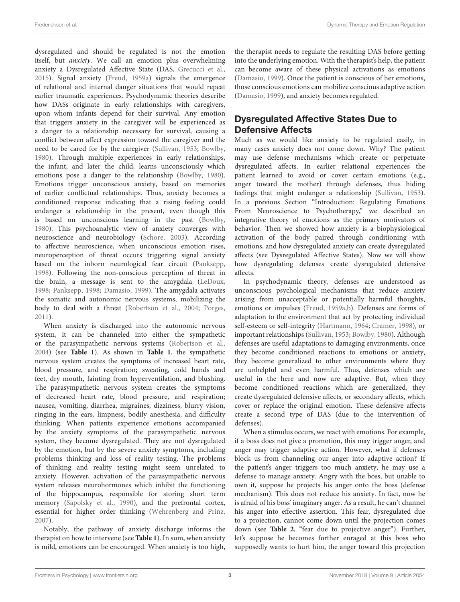dysregulated and should be regulated is not the emotion itself, but anxiety. We call an emotion plus overwhelming anxiety a Dysregulated Affective State (DAS, [Grecucci et al.,](#page-7-39) [2015\)](#page-7-39). Signal anxiety [\(Freud,](#page-7-2) [1959a\)](#page-7-2) signals the emergence of relational and internal danger situations that would repeat earlier traumatic experiences. Psychodynamic theories describe how DASs originate in early relationships with caregivers, upon whom infants depend for their survival. Any emotion that triggers anxiety in the caregiver will be experienced as a danger to a relationship necessary for survival, causing a conflict between affect expression toward the caregiver and the need to be cared for by the caregiver [\(Sullivan,](#page-8-14) [1953;](#page-8-14) [Bowlby,](#page-7-41) [1980\)](#page-7-41). Through multiple experiences in early relationships, the infant, and later the child, learns unconsciously which emotions pose a danger to the relationship [\(Bowlby,](#page-7-41) [1980\)](#page-7-41). Emotions trigger unconscious anxiety, based on memories of earlier conflictual relationships. Thus, anxiety becomes a conditioned response indicating that a rising feeling could endanger a relationship in the present, even though this is based on unconscious learning in the past [\(Bowlby,](#page-7-41) [1980\)](#page-7-41). This psychoanalytic view of anxiety converges with neuroscience and neurobiology [\(Schore,](#page-8-15) [2003\)](#page-8-15). According to affective neuroscience, when unconscious emotion rises, neuroperception of threat occurs triggering signal anxiety based on the inborn neurological fear circuit [\(Panksepp,](#page-8-13) [1998\)](#page-8-13). Following the non-conscious perception of threat in the brain, a message is sent to the amygdala [\(LeDoux,](#page-7-42) [1998;](#page-7-42) [Panksepp,](#page-8-13) [1998;](#page-8-13) [Damasio,](#page-7-6) [1999\)](#page-7-6). The amygdala activates the somatic and autonomic nervous systems, mobilizing the body to deal with a threat [\(Robertson et al.,](#page-8-16) [2004;](#page-8-16) [Porges,](#page-8-17) [2011\)](#page-8-17).

When anxiety is discharged into the autonomic nervous system, it can be channeled into either the sympathetic or the parasympathetic nervous systems [\(Robertson et al.,](#page-8-16) [2004\)](#page-8-16) (see **[Table 1](#page-3-0)**). As shown in **[Table 1](#page-3-0)**, the sympathetic nervous system creates the symptoms of increased heart rate, blood pressure, and respiration; sweating, cold hands and feet, dry mouth, fainting from hyperventilation, and blushing. The parasympathetic nervous system creates the symptoms of decreased heart rate, blood pressure, and respiration; nausea, vomiting, diarrhea, migraines, dizziness, blurry vision, ringing in the ears, limpness, bodily anesthesia, and difficulty thinking. When patients experience emotions accompanied by the anxiety symptoms of the parasympathetic nervous system, they become dysregulated. They are not dysregulated by the emotion, but by the severe anxiety symptoms, including problems thinking and loss of reality testing. The problems of thinking and reality testing might seem unrelated to anxiety. However, activation of the parasympathetic nervous system releases neurohormones which inhibit the functioning of the hippocampus, responsible for storing short term memory [\(Sapolsky et al.,](#page-8-18) [1990\)](#page-8-18), and the prefrontal cortex, essential for higher order thinking [\(Wehrenberg and Prinz,](#page-8-19) [2007\)](#page-8-19).

Notably, the pathway of anxiety discharge informs the therapist on how to intervene (see **[Table 1](#page-3-0)**). In sum, when anxiety is mild, emotions can be encouraged. When anxiety is too high, the therapist needs to regulate the resulting DAS before getting into the underlying emotion. With the therapist's help, the patient can become aware of these physical activations as emotions [\(Damasio,](#page-7-6) [1999\)](#page-7-6). Once the patient is conscious of her emotions, those conscious emotions can mobilize conscious adaptive action [\(Damasio,](#page-7-6) [1999\)](#page-7-6), and anxiety becomes regulated.

# Dysregulated Affective States Due to Defensive Affects

Much as we would like anxiety to be regulated easily, in many cases anxiety does not come down. Why? The patient may use defense mechanisms which create or perpetuate dysregulated affects. In earlier relational experiences the patient learned to avoid or cover certain emotions (e.g., anger toward the mother) through defenses, thus hiding feelings that might endanger a relationship [\(Sullivan,](#page-8-14) [1953\)](#page-8-14). In a previous Section "Introduction: Regulating Emotions From Neuroscience to Psychotherapy," we described an integrative theory of emotions as the primary motivators of behavior. Then we showed how anxiety is a biophysiological activation of the body paired through conditioning with emotions, and how dysregulated anxiety can create dysregulated affects (see Dysregulated Affective States). Now we will show how dysregulating defenses create dysregulated defensive affects.

In psychodynamic theory, defenses are understood as unconscious psychological mechanisms that reduce anxiety arising from unacceptable or potentially harmful thoughts, emotions or impulses [\(Freud,](#page-7-2) [1959a](#page-7-2)[,b\)](#page-7-3). Defenses are forms of adaptation to the environment that act by protecting individual self-esteem or self-integrity [\(Hartmann,](#page-7-38) [1964;](#page-7-38) [Cramer,](#page-7-43) [1998\)](#page-7-43), or important relationships [\(Sullivan,](#page-8-14) [1953;](#page-8-14) [Bowlby,](#page-7-41) [1980\)](#page-7-41). Although defenses are useful adaptations to damaging environments, once they become conditioned reactions to emotions or anxiety, they become generalized to other environments where they are unhelpful and even harmful. Thus, defenses which are useful in the here and now are adaptive. But, when they become conditioned reactions which are generalized, they create dysregulated defensive affects, or secondary affects, which cover or replace the original emotion. These defensive affects create a second type of DAS (due to the intervention of defenses).

When a stimulus occurs, we react with emotions. For example, if a boss does not give a promotion, this may trigger anger, and anger may trigger adaptive action. However, what if defenses block us from channeling our anger into adaptive action? If the patient's anger triggers too much anxiety, he may use a defense to manage anxiety. Angry with the boss, but unable to own it, suppose he projects his anger onto the boss (defense mechanism). This does not reduce his anxiety. In fact, now he is afraid of his boss' imaginary anger. As a result, he can't channel his anger into effective assertion. This fear, dysregulated due to a projection, cannot come down until the projection comes down (see **[Table 2](#page-3-1)**, "fear due to projective anger"). Further, let's suppose he becomes further enraged at this boss who supposedly wants to hurt him, the anger toward this projection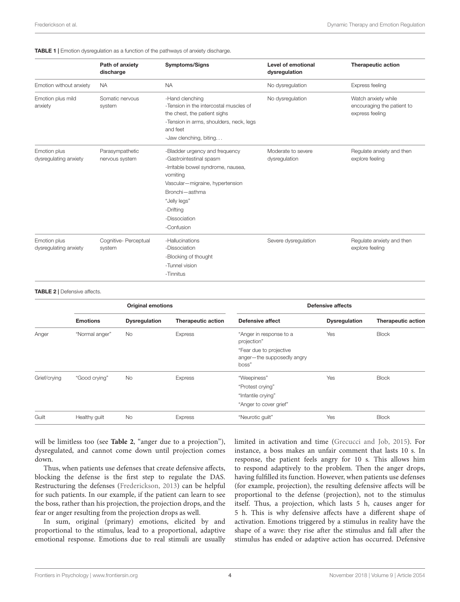#### <span id="page-3-0"></span>TABLE 1 | Emotion dysregulation as a function of the pathways of anxiety discharge.

|                                       | Path of anxiety<br>discharge      | <b>Symptoms/Signs</b>                                                                                                                                                                                                        | Level of emotional<br>dysregulation | <b>Therapeutic action</b>                                            |
|---------------------------------------|-----------------------------------|------------------------------------------------------------------------------------------------------------------------------------------------------------------------------------------------------------------------------|-------------------------------------|----------------------------------------------------------------------|
| Emotion without anxiety               | <b>NA</b>                         | <b>NA</b>                                                                                                                                                                                                                    | No dysregulation                    | Express feeling                                                      |
| Emotion plus mild<br>anxiety          | Somatic nervous<br>system         | -Hand clenching<br>-Tension in the intercostal muscles of<br>the chest, the patient sighs<br>-Tension in arms, shoulders, neck, legs<br>and feet<br>-Jaw clenching, biting                                                   | No dysregulation                    | Watch anxiety while<br>encouraging the patient to<br>express feeling |
| Emotion plus<br>dysregulating anxiety | Parasympathetic<br>nervous system | -Bladder urgency and frequency<br>-Gastrointestinal spasm<br>-Irritable bowel syndrome, nausea,<br>vomiting<br>Vascular-migraine, hypertension<br>Bronchi-asthma<br>"Jelly legs"<br>-Drifting<br>-Dissociation<br>-Confusion | Moderate to severe<br>dysregulation | Regulate anxiety and then<br>explore feeling                         |
| Emotion plus<br>dysregulating anxiety | Cognitive- Perceptual<br>system   | -Hallucinations<br>-Dissociation<br>-Blocking of thought<br>-Tunnel vision<br>-Tinnitus                                                                                                                                      | Severe dysregulation                | Regulate anxiety and then<br>explore feeling                         |

#### <span id="page-3-1"></span>TABLE 2 | Defensive affects.

|              | <b>Original emotions</b> |                      | Defensive affects  |                                                                |                      |                           |
|--------------|--------------------------|----------------------|--------------------|----------------------------------------------------------------|----------------------|---------------------------|
|              | <b>Emotions</b>          | <b>Dysregulation</b> | Therapeutic action | <b>Defensive affect</b>                                        | <b>Dysregulation</b> | <b>Therapeutic action</b> |
| Anger        | "Normal anger"           | <b>No</b>            | <b>Express</b>     | "Anger in response to a<br>projection"                         | Yes                  | <b>Block</b>              |
|              |                          |                      |                    | "Fear due to projective<br>anger-the supposedly angry<br>boss" |                      |                           |
| Grief/crying | "Good crying"            | No                   | <b>Express</b>     | "Weepiness"                                                    | Yes                  | <b>Block</b>              |
|              |                          |                      |                    | "Protest crying"                                               |                      |                           |
|              |                          |                      |                    | "Infantile crying"                                             |                      |                           |
|              |                          |                      |                    | "Anger to cover grief"                                         |                      |                           |
| Guilt        | Healthy guilt            | No                   | <b>Express</b>     | "Neurotic guilt"                                               | Yes                  | <b>Block</b>              |

will be limitless too (see **[Table 2](#page-3-1)**, "anger due to a projection"), dysregulated, and cannot come down until projection comes down.

Thus, when patients use defenses that create defensive affects, blocking the defense is the first step to regulate the DAS. Restructuring the defenses [\(Frederickson,](#page-7-31) [2013\)](#page-7-31) can be helpful for such patients. In our example, if the patient can learn to see the boss, rather than his projection, the projection drops, and the fear or anger resulting from the projection drops as well.

In sum, original (primary) emotions, elicited by and proportional to the stimulus, lead to a proportional, adaptive emotional response. Emotions due to real stimuli are usually limited in activation and time [\(Grecucci and Job,](#page-7-32) [2015\)](#page-7-32). For instance, a boss makes an unfair comment that lasts 10 s. In response, the patient feels angry for 10 s. This allows him to respond adaptively to the problem. Then the anger drops, having fulfilled its function. However, when patients use defenses (for example, projection), the resulting defensive affects will be proportional to the defense (projection), not to the stimulus itself. Thus, a projection, which lasts 5 h, causes anger for 5 h. This is why defensive affects have a different shape of activation. Emotions triggered by a stimulus in reality have the shape of a wave: they rise after the stimulus and fall after the stimulus has ended or adaptive action has occurred. Defensive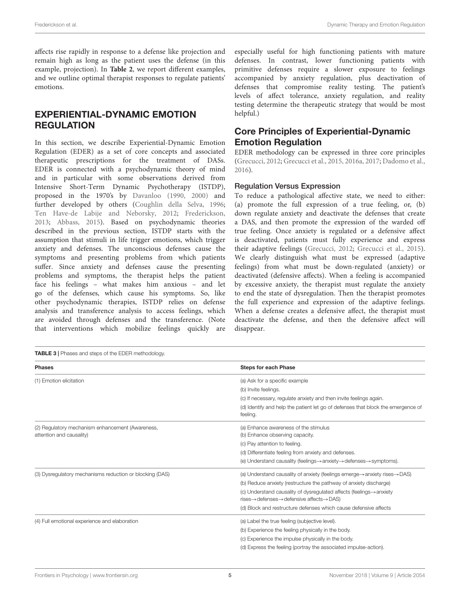affects rise rapidly in response to a defense like projection and remain high as long as the patient uses the defense (in this example, projection). In **[Table 2](#page-3-1)**, we report different examples, and we outline optimal therapist responses to regulate patients' emotions.

# EXPERIENTIAL-DYNAMIC EMOTION **REGULATION**

In this section, we describe Experiential-Dynamic Emotion Regulation (EDER) as a set of core concepts and associated therapeutic prescriptions for the treatment of DASs. EDER is connected with a psychodynamic theory of mind and in particular with some observations derived from Intensive Short-Term Dynamic Psychotherapy (ISTDP), proposed in the 1970's by [Davanloo](#page-7-35) [\(1990,](#page-7-35) [2000\)](#page-7-37) and further developed by others [\(Coughlin della Selva,](#page-7-36) [1996;](#page-7-36) [Ten Have-de Labije and Neborsky,](#page-8-20) [2012;](#page-8-20) [Frederickson,](#page-7-31) [2013;](#page-7-31) [Abbass,](#page-7-44) [2015\)](#page-7-44). Based on psychodynamic theories described in the previous section, ISTDP starts with the assumption that stimuli in life trigger emotions, which trigger anxiety and defenses. The unconscious defenses cause the symptoms and presenting problems from which patients suffer. Since anxiety and defenses cause the presenting problems and symptoms, the therapist helps the patient face his feelings – what makes him anxious – and let go of the defenses, which cause his symptoms. So, like other psychodynamic therapies, ISTDP relies on defense analysis and transference analysis to access feelings, which are avoided through defenses and the transference. (Note that interventions which mobilize feelings quickly are

<span id="page-4-0"></span>TABLE 3 | Phases and steps of the EDER methodology.

especially useful for high functioning patients with mature defenses. In contrast, lower functioning patients with primitive defenses require a slower exposure to feelings accompanied by anxiety regulation, plus deactivation of defenses that compromise reality testing. The patient's levels of affect tolerance, anxiety regulation, and reality testing determine the therapeutic strategy that would be most helpful.)

# Core Principles of Experiential-Dynamic Emotion Regulation

EDER methodology can be expressed in three core principles [\(Grecucci,](#page-7-21) [2012;](#page-7-21) [Grecucci et al.,](#page-7-39) [2015,](#page-7-39) [2016a,](#page-7-40) [2017;](#page-7-45) [Dadomo et al.,](#page-7-46) [2016\)](#page-7-46).

### Regulation Versus Expression

To reduce a pathological affective state, we need to either: (a) promote the full expression of a true feeling, or, (b) down regulate anxiety and deactivate the defenses that create a DAS, and then promote the expression of the warded off true feeling. Once anxiety is regulated or a defensive affect is deactivated, patients must fully experience and express their adaptive feelings [\(Grecucci,](#page-7-21) [2012;](#page-7-21) [Grecucci et al.,](#page-7-39) [2015\)](#page-7-39). We clearly distinguish what must be expressed (adaptive feelings) from what must be down-regulated (anxiety) or deactivated (defensive affects). When a feeling is accompanied by excessive anxiety, the therapist must regulate the anxiety to end the state of dysregulation. Then the therapist promotes the full experience and expression of the adaptive feelings. When a defense creates a defensive affect, the therapist must deactivate the defense, and then the defensive affect will disappear.

| <b>If there</b> $\bullet$ <b>I</b> is indeed and otopologically change in internet reserved <b>i</b> |                                                                                                          |  |  |  |
|------------------------------------------------------------------------------------------------------|----------------------------------------------------------------------------------------------------------|--|--|--|
| <b>Phases</b>                                                                                        | <b>Steps for each Phase</b>                                                                              |  |  |  |
| (1) Emotion elicitation                                                                              | (a) Ask for a specific example                                                                           |  |  |  |
|                                                                                                      | (b) Invite feelings.                                                                                     |  |  |  |
|                                                                                                      | (c) If necessary, regulate anxiety and then invite feelings again.                                       |  |  |  |
|                                                                                                      | (d) Identify and help the patient let go of defenses that block the emergence of<br>feeling.             |  |  |  |
| (2) Regulatory mechanism enhancement (Awareness,                                                     | (a) Enhance awareness of the stimulus                                                                    |  |  |  |
| attention and causality)                                                                             | (b) Enhance observing capacity.                                                                          |  |  |  |
|                                                                                                      | (c) Pay attention to feeling.                                                                            |  |  |  |
|                                                                                                      | (d) Differentiate feeling from anxiety and defenses.                                                     |  |  |  |
|                                                                                                      | (e) Understand causality (feelings $\rightarrow$ anxiety $\rightarrow$ defenses $\rightarrow$ symptoms). |  |  |  |
| (3) Dysregulatory mechanisms reduction or blocking (DAS)                                             | (a) Understand causality of anxiety (feelings emerge $\rightarrow$ anxiety rises $\rightarrow$ DAS)      |  |  |  |
|                                                                                                      | (b) Reduce anxiety (restructure the pathway of anxiety discharge)                                        |  |  |  |
|                                                                                                      | (c) Understand causality of dysregulated affects (feelings $\rightarrow$ anxiety                         |  |  |  |
|                                                                                                      | $rises \rightarrow defenses \rightarrow defensive affects \rightarrow DAS$                               |  |  |  |
|                                                                                                      | (d) Block and restructure defenses which cause defensive affects                                         |  |  |  |
| (4) Full emotional experience and elaboration                                                        | (a) Label the true feeling (subjective level).                                                           |  |  |  |
|                                                                                                      | (b) Experience the feeling physically in the body.                                                       |  |  |  |
|                                                                                                      | (c) Experience the impulse physically in the body.                                                       |  |  |  |
|                                                                                                      | (d) Express the feeling (portray the associated impulse-action).                                         |  |  |  |
|                                                                                                      |                                                                                                          |  |  |  |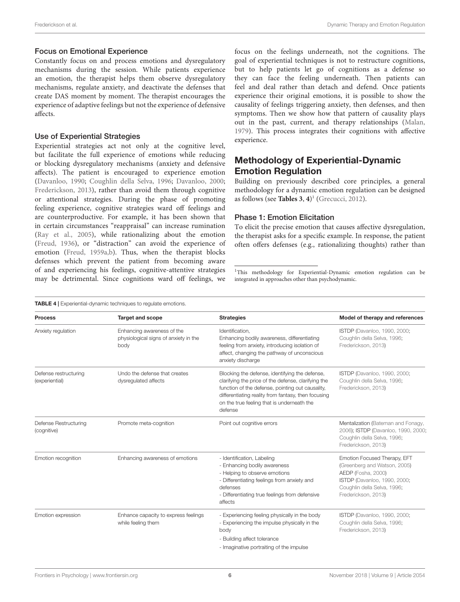#### Focus on Emotional Experience

Constantly focus on and process emotions and dysregulatory mechanisms during the session. While patients experience an emotion, the therapist helps them observe dysregulatory mechanisms, regulate anxiety, and deactivate the defenses that create DAS moment by moment. The therapist encourages the experience of adaptive feelings but not the experience of defensive affects.

#### Use of Experiential Strategies

Experiential strategies act not only at the cognitive level, but facilitate the full experience of emotions while reducing or blocking dysregulatory mechanisms (anxiety and defensive affects). The patient is encouraged to experience emotion [\(Davanloo,](#page-7-35) [1990;](#page-7-35) [Coughlin della Selva,](#page-7-36) [1996;](#page-7-36) [Davanloo,](#page-7-37) [2000;](#page-7-37) [Frederickson,](#page-7-31) [2013\)](#page-7-31), rather than avoid them through cognitive or attentional strategies. During the phase of promoting feeling experience, cognitive strategies ward off feelings and are counterproductive. For example, it has been shown that in certain circumstances "reappraisal" can increase rumination [\(Ray et al.,](#page-8-21) [2005\)](#page-8-21), while rationalizing about the emotion [\(Freud,](#page-7-1) [1936\)](#page-7-1), or "distraction" can avoid the experience of emotion [\(Freud,](#page-7-2) [1959a,](#page-7-2)[b\)](#page-7-3). Thus, when the therapist blocks defenses which prevent the patient from becoming aware of and experiencing his feelings, cognitive-attentive strategies may be detrimental. Since cognitions ward off feelings, we

focus on the feelings underneath, not the cognitions. The goal of experiential techniques is not to restructure cognitions, but to help patients let go of cognitions as a defense so they can face the feeling underneath. Then patients can feel and deal rather than detach and defend. Once patients experience their original emotions, it is possible to show the causality of feelings triggering anxiety, then defenses, and then symptoms. Then we show how that pattern of causality plays out in the past, current, and therapy relationships [\(Malan,](#page-8-22) [1979\)](#page-8-22). This process integrates their cognitions with affective experience.

# Methodology of Experiential-Dynamic Emotion Regulation

Building on previously described core principles, a general methodology for a dynamic emotion regulation can be designed as follows (see **[Tables 3](#page-4-0)**, **[4](#page-5-0)**) [1](#page-5-1) [\(Grecucci,](#page-7-21) [2012\)](#page-7-21).

### Phase 1: Emotion Elicitation

To elicit the precise emotion that causes affective dysregulation, the therapist asks for a specific example. In response, the patient often offers defenses (e.g., rationalizing thoughts) rather than

<span id="page-5-1"></span><sup>&</sup>lt;sup>1</sup>This methodology for Experiential-Dynamic emotion regulation can be integrated in approaches other than psychodynamic.

<span id="page-5-0"></span>

| <b>Target and scope</b><br><b>Process</b>                                        |                                                                             | <b>Strategies</b>                                                                                                                                                                                                                                                         | Model of therapy and references                                                                                                                                          |  |
|----------------------------------------------------------------------------------|-----------------------------------------------------------------------------|---------------------------------------------------------------------------------------------------------------------------------------------------------------------------------------------------------------------------------------------------------------------------|--------------------------------------------------------------------------------------------------------------------------------------------------------------------------|--|
| Anxiety regulation                                                               | Enhancing awareness of the<br>physiological signs of anxiety in the<br>body | Identification,<br>Enhancing bodily awareness, differentiating<br>feeling from anxiety, introducing isolation of<br>affect, changing the pathway of unconscious<br>anxiety discharge                                                                                      | <b>ISTDP</b> (Davanloo, 1990, 2000;<br>Coughlin della Selva, 1996;<br>Frederickson, 2013)                                                                                |  |
| Defense restructuring<br>(experiential)                                          | Undo the defense that creates<br>dysregulated affects                       | Blocking the defense, identifying the defense,<br>clarifying the price of the defense, clarifying the<br>function of the defense, pointing out causality,<br>differentiating reality from fantasy, then focusing<br>on the true feeling that is underneath the<br>defense | <b>ISTDP</b> (Davanloo, 1990, 2000;<br>Coughlin della Selva, 1996;<br>Frederickson, 2013)                                                                                |  |
| Defense Restructuring<br>(cognitive)                                             | Promote meta-cognition                                                      | Point out cognitive errors                                                                                                                                                                                                                                                | Mentalization (Bateman and Fonagy,<br>2006); ISTDP (Davanloo, 1990, 2000;<br>Coughlin della Selva, 1996;<br>Frederickson, 2013)                                          |  |
| Emotion recognition                                                              | Enhancing awareness of emotions                                             | - Identification, Labeling<br>- Enhancing bodily awareness<br>- Helping to observe emotions<br>- Differentiating feelings from anxiety and<br>defenses<br>- Differentiating true feelings from defensive<br>affects                                                       | Emotion Focused Therapy, EFT<br>(Greenberg and Watson, 2005)<br>AEDP (Fosha, 2000)<br>ISTDP (Davanloo, 1990, 2000;<br>Coughlin della Selva, 1996;<br>Frederickson, 2013) |  |
| Enhance capacity to express feelings<br>Emotion expression<br>while feeling them |                                                                             | - Experiencing feeling physically in the body<br>- Experiencing the impulse physically in the<br>body<br>- Building affect tolerance<br>- Imaginative portraiting of the impulse                                                                                          | <b>ISTDP</b> (Davanloo, 1990, 2000;<br>Coughlin della Selva, 1996;<br>Frederickson, 2013)                                                                                |  |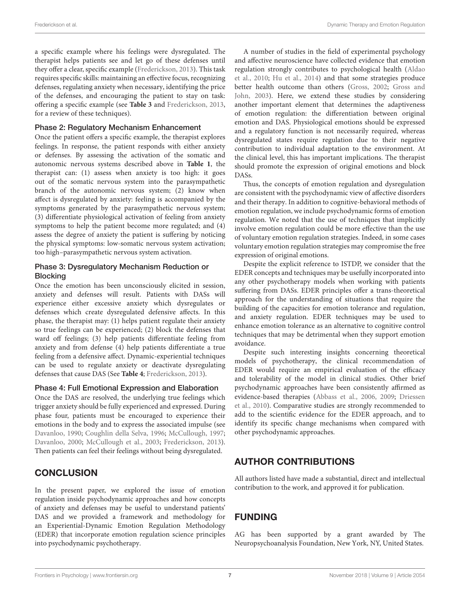a specific example where his feelings were dysregulated. The therapist helps patients see and let go of these defenses until they offer a clear, specific example [\(Frederickson,](#page-7-31) [2013\)](#page-7-31). This task requires specific skills: maintaining an effective focus, recognizing defenses, regulating anxiety when necessary, identifying the price of the defenses, and encouraging the patient to stay on task: offering a specific example (see **[Table 3](#page-4-0)** and [Frederickson,](#page-7-31) [2013,](#page-7-31) for a review of these techniques).

### Phase 2: Regulatory Mechanism Enhancement

Once the patient offers a specific example, the therapist explores feelings. In response, the patient responds with either anxiety or defenses. By assessing the activation of the somatic and autonomic nervous systems described above in **[Table 1](#page-3-0)**, the therapist can: (1) assess when anxiety is too high: it goes out of the somatic nervous system into the parasympathetic branch of the autonomic nervous system; (2) know when affect is dysregulated by anxiety: feeling is accompanied by the symptoms generated by the parasympathetic nervous system; (3) differentiate physiological activation of feeling from anxiety symptoms to help the patient become more regulated; and (4) assess the degree of anxiety the patient is suffering by noticing the physical symptoms: low-somatic nervous system activation; too high–parasympathetic nervous system activation.

### Phase 3: Dysregulatory Mechanism Reduction or Blocking

Once the emotion has been unconsciously elicited in session, anxiety and defenses will result. Patients with DASs will experience either excessive anxiety which dysregulates or defenses which create dysregulated defensive affects. In this phase, the therapist may: (1) helps patient regulate their anxiety so true feelings can be experienced; (2) block the defenses that ward off feelings; (3) help patients differentiate feeling from anxiety and from defense (4) help patients differentiate a true feeling from a defensive affect. Dynamic-experiential techniques can be used to regulate anxiety or deactivate dysregulating defenses that cause DAS (See **[Table 4](#page-5-0)**; [Frederickson,](#page-7-31) [2013\)](#page-7-31).

### Phase 4: Full Emotional Expression and Elaboration

Once the DAS are resolved, the underlying true feelings which trigger anxiety should be fully experienced and expressed. During phase four, patients must be encouraged to experience their emotions in the body and to express the associated impulse (see [Davanloo,](#page-7-35) [1990;](#page-7-35) [Coughlin della Selva,](#page-7-36) [1996;](#page-7-36) [McCullough,](#page-8-23) [1997;](#page-8-23) [Davanloo,](#page-7-37) [2000;](#page-7-37) [McCullough et al.,](#page-8-24) [2003;](#page-8-24) [Frederickson,](#page-7-31) [2013\)](#page-7-31). Then patients can feel their feelings without being dysregulated.

# **CONCLUSION**

In the present paper, we explored the issue of emotion regulation inside psychodynamic approaches and how concepts of anxiety and defenses may be useful to understand patients' DAS and we provided a framework and methodology for an Experiential-Dynamic Emotion Regulation Methodology (EDER) that incorporate emotion regulation science principles into psychodynamic psychotherapy.

A number of studies in the field of experimental psychology and affective neuroscience have collected evidence that emotion regulation strongly contributes to psychological health [\(Aldao](#page-7-18) [et al.,](#page-7-18) [2010;](#page-7-18) [Hu et al.,](#page-7-26) [2014\)](#page-7-26) and that some strategies produce better health outcome than others [\(Gross,](#page-7-24) [2002;](#page-7-24) [Gross and](#page-7-25) [John,](#page-7-25) [2003\)](#page-7-25). Here, we extend these studies by considering another important element that determines the adaptiveness of emotion regulation: the differentiation between original emotion and DAS. Physiological emotions should be expressed and a regulatory function is not necessarily required, whereas dysregulated states require regulation due to their negative contribution to individual adaptation to the environment. At the clinical level, this has important implications. The therapist should promote the expression of original emotions and block DASs.

Thus, the concepts of emotion regulation and dysregulation are consistent with the psychodynamic view of affective disorders and their therapy. In addition to cognitive-behavioral methods of emotion regulation, we include psychodynamic forms of emotion regulation. We noted that the use of techniques that implicitly involve emotion regulation could be more effective than the use of voluntary emotion regulation strategies. Indeed, in some cases voluntary emotion regulation strategies may compromise the free expression of original emotions.

Despite the explicit reference to ISTDP, we consider that the EDER concepts and techniques may be usefully incorporated into any other psychotherapy models when working with patients suffering from DASs. EDER principles offer a trans-theoretical approach for the understanding of situations that require the building of the capacities for emotion tolerance and regulation, and anxiety regulation. EDER techniques may be used to enhance emotion tolerance as an alternative to cognitive control techniques that may be detrimental when they support emotion avoidance.

Despite such interesting insights concerning theoretical models of psychotherapy, the clinical recommendation of EDER would require an empirical evaluation of the efficacy and tolerability of the model in clinical studies. Other brief psychodynamic approaches have been consistently affirmed as evidence-based therapies [\(Abbass et al.,](#page-7-50) [2006,](#page-7-50) [2009;](#page-7-51) [Driessen](#page-7-52) [et al.,](#page-7-52) [2010\)](#page-7-52). Comparative studies are strongly recommended to add to the scientific evidence for the EDER approach, and to identify its specific change mechanisms when compared with other psychodynamic approaches.

# AUTHOR CONTRIBUTIONS

All authors listed have made a substantial, direct and intellectual contribution to the work, and approved it for publication.

# FUNDING

AG has been supported by a grant awarded by The Neuropsychoanalysis Foundation, New York, NY, United States.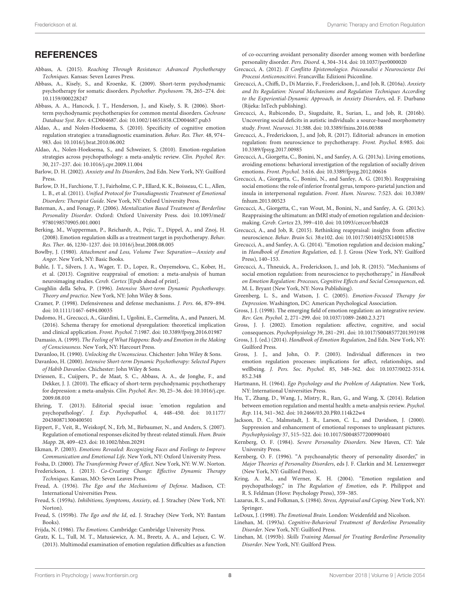### **REFERENCES**

- <span id="page-7-44"></span>Abbass, A. (2015). Reaching Through Resistance: Advanced Psychotherapy Techniques. Kansas: Seven Leaves Press.
- <span id="page-7-51"></span>Abbass, A., Kisely, S., and Kroenke, K. (2009). Short-term psychodynamic psychotherapy for somatic disorders. Psychother. Psychosom. 78, 265–274. [doi:](https://doi.org/10.1159/000228247) [10.1159/000228247](https://doi.org/10.1159/000228247)
- <span id="page-7-50"></span>Abbass, A. A., Hancock, J. T., Henderson, J., and Kisely, S. R. (2006). Shortterm psychodynamic psychotherapies for common mental disorders. Cochrane Database Syst. Rev. 4:CD004687. [doi: 10.1002/14651858.CD004687.pub3](https://doi.org/10.1002/14651858.CD004687.pub3)
- <span id="page-7-17"></span>Aldao, A., and Nolen-Hoeksema, S. (2010). Specificity of cognitive emotion regulation strategies: a transdiagnostic examination. Behav. Res. Ther. 48, 974– 983. [doi: 10.1016/j.brat.2010.06.002](https://doi.org/10.1016/j.brat.2010.06.002)
- <span id="page-7-18"></span>Aldao, A., Nolen-Hoeksema, S., and Schweizer, S. (2010). Emotion-regulation strategies across psychopathology: a meta-analytic review. Clin. Psychol. Rev. 30, 217–237. [doi: 10.1016/j.cpr.2009.11.004](https://doi.org/10.1016/j.cpr.2009.11.004)
- <span id="page-7-20"></span>Barlow, D. H. (2002). Anxiety and Its Disorders, 2nd Edn. New York, NY: Guilford Press.
- <span id="page-7-29"></span>Barlow, D. H., Farchione, T. J., Fairholme, C. P., Ellard, K. K., Boisseau, C. L., Allen, L. B., et al. (2011). Unified Protocol for Transdiagnostic Treatment of Emotional Disorders: Therapist Guide. New York, NY: Oxford University Press.
- <span id="page-7-47"></span>Bateman, A., and Fonagy, P. (2006). Mentalization Based Treatment of Borderline Personality Disorder. Oxford: Oxford University Press. [doi: 10.1093/med/](https://doi.org/10.1093/med/9780198570905.001.0001) [9780198570905.001.0001](https://doi.org/10.1093/med/9780198570905.001.0001)
- <span id="page-7-30"></span>Berking, M., Wupperman, P., Reichardt, A., Pejic, T., Dippel, A., and Znoj, H. (2008). Emotion regulation skills as a treatment target in psychotherapy. Behav. Res. Ther. 46, 1230–1237. [doi: 10.1016/j.brat.2008.08.005](https://doi.org/10.1016/j.brat.2008.08.005)
- <span id="page-7-41"></span>Bowlby, J. (1980). Attachment and Loss, Volume Two: Separation—Anxiety and Anger. New York, NY: Basic Books.
- <span id="page-7-10"></span>Buhle, J. T., Silvers, J. A., Wager, T. D., Lopez, R., Onyemekwu, C., Kober, H., et al. (2013). Cognitive reappraisal of emotion: a meta-analysis of human neuroimaging studies. Cereb. Cortex [Epub ahead of print].
- <span id="page-7-36"></span>Coughlin della Selva, P. (1996). Intensive Short-term Dynamic Psychotherapy. Theory and practice. New York, NY: John Wiley & Sons.
- <span id="page-7-43"></span>Cramer, P. (1998). Defensiveness and defense mechanisms. J. Pers. 66, 879–894. [doi: 10.1111/1467-6494.00035](https://doi.org/10.1111/1467-6494.00035)
- <span id="page-7-46"></span>Dadomo, H., Grecucci, A., Giardini, I., Ugolini, E., Carmelita, A., and Panzeri, M. (2016). Schema therapy for emotional dysregulation: theoretical implication and clinical application. Front. Psychol. 7:1987. [doi: 10.3389/fpsyg.2016.01987](https://doi.org/10.3389/fpsyg.2016.01987)
- <span id="page-7-6"></span>Damasio, A. (1999). The Feeling of What Happens: Body and Emotion in the Making of Consciousness. New York, NY: Harcourt Press.

<span id="page-7-35"></span>Davanloo, H. (1990). Unlocking the Unconscious. Chichester: John Wiley & Sons.

- <span id="page-7-37"></span>Davanloo, H. (2000). Intensive Short-term Dynamic Psychotherapy: Selected Papers of Habib Davanloo. Chichester: John Wiley & Sons.
- <span id="page-7-52"></span>Driessen, E., Cuijpers, P., de Maat, S. C., Abbass, A. A., de Jonghe, F., and Dekker, J. J. (2010). The efficacy of short-term psychodynamic psychotherapy for depression: a meta-analysis. Clin. Psychol. Rev. 30, 25–36. [doi: 10.1016/j.cpr.](https://doi.org/10.1016/j.cpr.2009.08.010) [2009.08.010](https://doi.org/10.1016/j.cpr.2009.08.010)
- <span id="page-7-22"></span>Ehring, T. (2013). Editorial special issue: 'emotion regulation and psychopathology'. J. Exp. Psychopathol. 4, 448–450. [doi: 10.1177/](https://doi.org/10.1177/204380871300400501) [204380871300400501](https://doi.org/10.1177/204380871300400501)
- <span id="page-7-9"></span>Eippert, F., Veit, R., Weiskopf, N., Erb, M., Birbaumer, N., and Anders, S. (2007). Regulation of emotional responses elicited by threat-related stimuli. Hum. Brain Mapp. 28, 409–423. [doi: 10.1002/hbm.20291](https://doi.org/10.1002/hbm.20291)
- <span id="page-7-7"></span>Ekman, P. (2003). Emotions Revealed: Recognizing Faces and Feelings to Improve Communication and Emotional Life. New York, NY: Oxford University Press.

<span id="page-7-49"></span>Fosha, D. (2000). The Transforming Power of Affect. New York, NY: W.W. Norton.

- <span id="page-7-31"></span>Frederickson, J. (2013). Co-Creating Change: Effective Dynamic Therapy Techniques. Kansas, MO: Seven Leaves Press.
- <span id="page-7-1"></span>Freud, A. (1936). The Ego and the Mechanisms of Defense. Madison, CT: International Universities Press.
- <span id="page-7-2"></span>Freud, S. (1959a). Inhibitions, Symptoms, Anxiety, ed. J. Strachey (New York, NY: Norton).
- <span id="page-7-3"></span>Freud, S. (1959b). The Ego and the Id, ed. J. Strachey (New York, NY: Bantam Books).

<span id="page-7-5"></span>Frijda, N. (1986). The Emotions. Cambridge: Cambridge University Press.

<span id="page-7-19"></span>Gratz, K. L., Tull, M. T., Matusiewicz, A. M., Breetz, A. A., and Lejuez, C. W. (2013). Multimodal examination of emotion regulation difficulties as a function of co-occurring avoidant personality disorder among women with borderline personality disorder. Pers. Disord. 4, 304–314. [doi: 10.1037/per0000020](https://doi.org/10.1037/per0000020)

- <span id="page-7-21"></span>Grecucci, A. (2012). Il Conflitto Epistemologico. Psicoanalisi e Neuroscienze Dei Processi Anticonoscitivi. Francavilla: Edizioni Psiconline.
- <span id="page-7-40"></span>Grecucci, A., Chiffi, D., Di Marzio, F., Frederickson, J., and Job, R. (2016a). Anxiety and Its Regulation: Neural Mechanisms and Regulation Techniques According to the Experiential-Dynamic Approach, in Anxiety Disorders, ed. F. Durbano (Rijeka: InTech publishing).
- <span id="page-7-15"></span>Grecucci, A., Rubicondo, D., Siugzdaite, R., Surian, L., and Job, R. (2016b). Uncovering social deficits in autistic individuals: a source-based morphometry study. Front. Neurosci. 31:388. [doi: 10.3389/fnins.2016.00388](https://doi.org/10.3389/fnins.2016.00388)
- <span id="page-7-45"></span>Grecucci, A., Frederickson, J., and Job, R. (2017). Editorial: advances in emotion regulation: from neuroscience to psychotherapy. Front. Psychol. 8:985. [doi:](https://doi.org/10.3389/fpsyg.2017.00985) [10.3389/fpsyg.2017.00985](https://doi.org/10.3389/fpsyg.2017.00985)
- <span id="page-7-12"></span>Grecucci, A., Giorgetta, C., Bonini, N., and Sanfey, A. G. (2013a). Living emotions, avoiding emotions: behavioral investigation of the regulation of socially driven emotions. Front. Psychol. 3:616. [doi: 10.3389/fpsyg.2012.00616](https://doi.org/10.3389/fpsyg.2012.00616)
- <span id="page-7-13"></span>Grecucci, A., Giorgetta, C., Bonini, N., and Sanfey, A. G. (2013b). Reappraising social emotions: the role of inferior frontal gyrus, temporo-parietal junction and insula in interpersonal regulation. Front. Hum. Neurosc. 7:523. [doi: 10.3389/](https://doi.org/10.3389/fnhum.2013.00523) [fnhum.2013.00523](https://doi.org/10.3389/fnhum.2013.00523)
- <span id="page-7-14"></span>Grecucci, A., Giorgetta, C., van Wout, M., Bonini, N., and Sanfey, A. G. (2013c). Reappraising the ultimatum: an fMRI study of emotion regulation and decisionmaking. Cereb. Cortex 23, 399–410. [doi: 10.1093/cercor/bhs028](https://doi.org/10.1093/cercor/bhs028)
- <span id="page-7-32"></span>Grecucci, A., and Job, R. (2015). Rethinking reappraisal: insights from affective neuroscience. Behav. Brain Sci. 38:e102. [doi: 10.1017/S0140525X14001538](https://doi.org/10.1017/S0140525X14001538)
- <span id="page-7-16"></span>Grecucci, A., and Sanfey, A. G. (2014). "Emotion regulation and decision making," in Handbook of Emotion Regulation, ed. J. J. Gross (New York, NY: Guilford Press), 140–153.
- <span id="page-7-39"></span>Grecucci, A., Thneuick, A., Frederickson, J., and Job, R. (2015). "Mechanisms of social emotion regulation: from neuroscience to psychotherapy," in Handbook on Emotion Regulation: Processes, Cognitive Effects and Social Consequences, ed. M. L. Bryant (New York, NY: Nova Publishing).
- <span id="page-7-48"></span>Greenberg, L. S., and Watson, J. C. (2005). Emotion-Focused Therapy for Depression. Washington, DC: American Psychological Association.
- <span id="page-7-0"></span>Gross, J. J. (1998). The emerging field of emotion regulation: an integrative review. Rev. Gen. Psychol. 2, 271–299. [doi: 10.1037/1089-2680.2.3.271](https://doi.org/10.1037/1089-2680.2.3.271)
- <span id="page-7-24"></span>Gross, J. J. (2002). Emotion regulation: affective, cognitive, and social consequences. Psychophysiology 39, 281–291. [doi: 10.1017/S0048577201393198](https://doi.org/10.1017/S0048577201393198)
- <span id="page-7-11"></span>Gross, J. J. (ed.) (2014). Handbook of Emotion Regulation, 2nd Edn. New York, NY: Guilford Press.
- <span id="page-7-25"></span>Gross, J. J., and John, O. P. (2003). Individual differences in two emotion regulation processes: implications for affect, relationships, and wellbeing. J. Pers. Soc. Psychol. 85, 348–362. [doi: 10.1037/0022-3514.](https://doi.org/10.1037/0022-3514.85.2.348) [85.2.348](https://doi.org/10.1037/0022-3514.85.2.348)
- <span id="page-7-38"></span>Hartmann, H. (1964). Ego Psychology and the Problem of Adaptation. New York, NY: International Universities Press.
- <span id="page-7-26"></span>Hu, T., Zhang, D., Wang, J., Mistry, R., Ran, G., and Wang, X. (2014). Relation between emotion regulation and mental health: a meta-analysis review. Psychol. Rep. 114, 341–362. [doi: 10.2466/03.20.PR0.114k22w4](https://doi.org/10.2466/03.20.PR0.114k22w4)
- <span id="page-7-8"></span>Jackson, D. C., Malmstadt, J. R., Larson, C. L., and Davidson, J. (2000). Suppression and enhancement of emotional responses to unpleasant pictures. Psychophysiology 37, 515–522. [doi: 10.1017/S0048577200990401](https://doi.org/10.1017/S0048577200990401)
- <span id="page-7-33"></span>Kernberg, O. F. (1984). Severe Personality Disorders. New Haven, CT: Yale University Press.
- <span id="page-7-34"></span>Kernberg, O. F. (1996). "A psychoanalytic theory of personality disorder," in Major Theories of Personality Disorders, eds J. F. Clarkin and M. Lenzenweger (New York, NY: Guilford Press).
- <span id="page-7-23"></span>Kring, A. M., and Werner, K. H. (2004). "Emotion regulation and psychopathology," in The Regulation of Emotion, eds P. Philippot and R. S. Feldman (Hove: Psychology Press), 359–385.
- <span id="page-7-4"></span>Lazarus, R. S., and Folkman, S. (1984). Stress, Appraisal and Coping. New York, NY: Springer.
- <span id="page-7-42"></span><span id="page-7-27"></span>LeDoux, J. (1998). The Emotional Brain. London: Weidenfeld and Nicolson.
- Linehan, M. (1993a). Cognitive-Behavioral Treatment of Borderline Personality Disorder. New York, NY: Guilford Press.
- <span id="page-7-28"></span>Linehan, M. (1993b). Skills Training Manual for Treating Borderline Personality Disorder. New York, NY: Guilford Press.